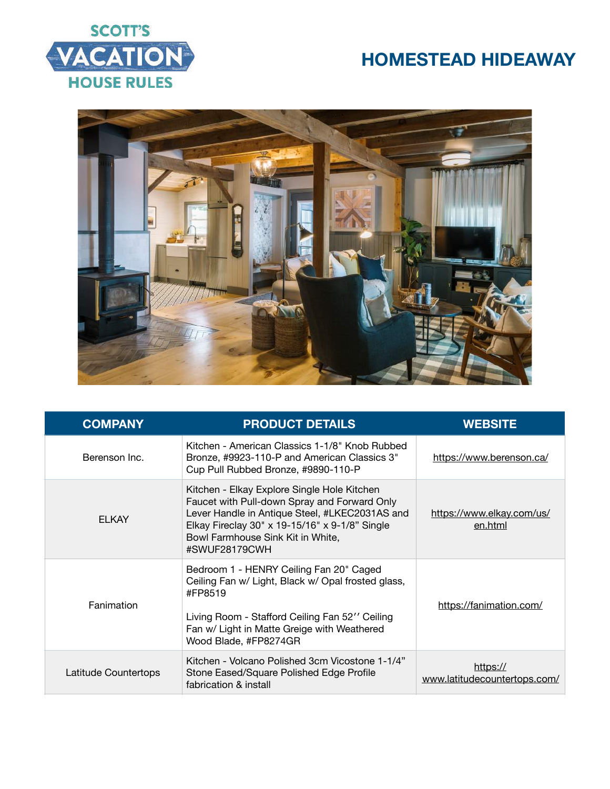



| <b>COMPANY</b>       | <b>PRODUCT DETAILS</b>                                                                                                                                                                                                                                | <b>WEBSITE</b>                           |
|----------------------|-------------------------------------------------------------------------------------------------------------------------------------------------------------------------------------------------------------------------------------------------------|------------------------------------------|
| Berenson Inc.        | Kitchen - American Classics 1-1/8" Knob Rubbed<br>Bronze, #9923-110-P and American Classics 3"<br>Cup Pull Rubbed Bronze, #9890-110-P                                                                                                                 | https://www.berenson.ca/                 |
| <b>ELKAY</b>         | Kitchen - Elkay Explore Single Hole Kitchen<br>Faucet with Pull-down Spray and Forward Only<br>Lever Handle in Antique Steel, #LKEC2031AS and<br>Elkay Fireclay 30" x 19-15/16" x 9-1/8" Single<br>Bowl Farmhouse Sink Kit in White,<br>#SWUF28179CWH | https://www.elkay.com/us/<br>en.html     |
| Fanimation           | Bedroom 1 - HENRY Ceiling Fan 20" Caged<br>Ceiling Fan w/ Light, Black w/ Opal frosted glass,<br>#FP8519<br>Living Room - Stafford Ceiling Fan 52" Ceiling<br>Fan w/ Light in Matte Greige with Weathered<br>Wood Blade, #FP8274GR                    | https://fanimation.com/                  |
| Latitude Countertops | Kitchen - Volcano Polished 3cm Vicostone 1-1/4"<br>Stone Eased/Square Polished Edge Profile<br>fabrication & install                                                                                                                                  | https://<br>www.latitudecountertops.com/ |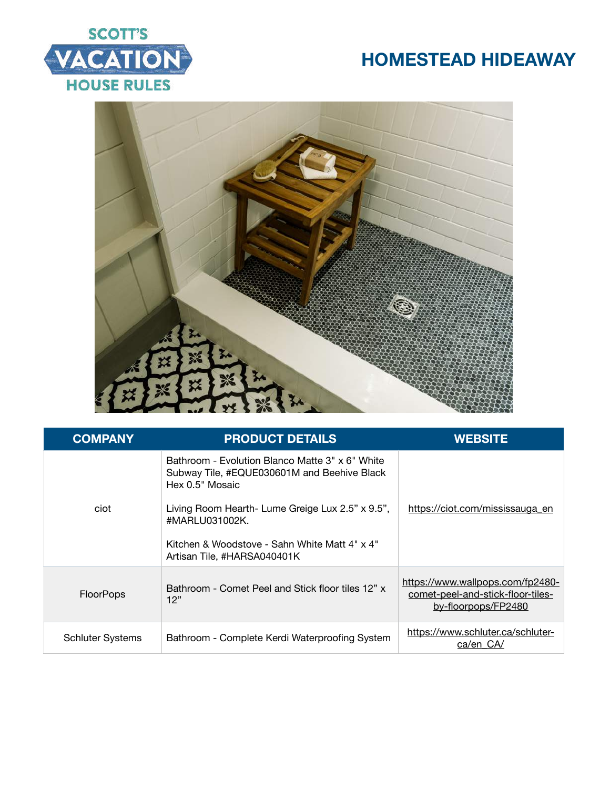



| <b>COMPANY</b>          | <b>PRODUCT DETAILS</b>                                                                                            | <b>WEBSITE</b>                                                                               |
|-------------------------|-------------------------------------------------------------------------------------------------------------------|----------------------------------------------------------------------------------------------|
|                         | Bathroom - Evolution Blanco Matte 3" x 6" White<br>Subway Tile, #EQUE030601M and Beehive Black<br>Hex 0.5" Mosaic |                                                                                              |
| ciot                    | Living Room Hearth- Lume Greige Lux 2.5" x 9.5",<br>#MARLU031002K.                                                | https://ciot.com/mississauga_en                                                              |
|                         | Kitchen & Woodstove - Sahn White Matt 4" x 4"<br>Artisan Tile, #HARSA040401K                                      |                                                                                              |
| <b>FloorPops</b>        | Bathroom - Comet Peel and Stick floor tiles 12" x<br>12"                                                          | https://www.wallpops.com/fp2480-<br>comet-peel-and-stick-floor-tiles-<br>by-floorpops/FP2480 |
| <b>Schluter Systems</b> | Bathroom - Complete Kerdi Waterproofing System                                                                    | https://www.schluter.ca/schluter-<br>ca/en CA/                                               |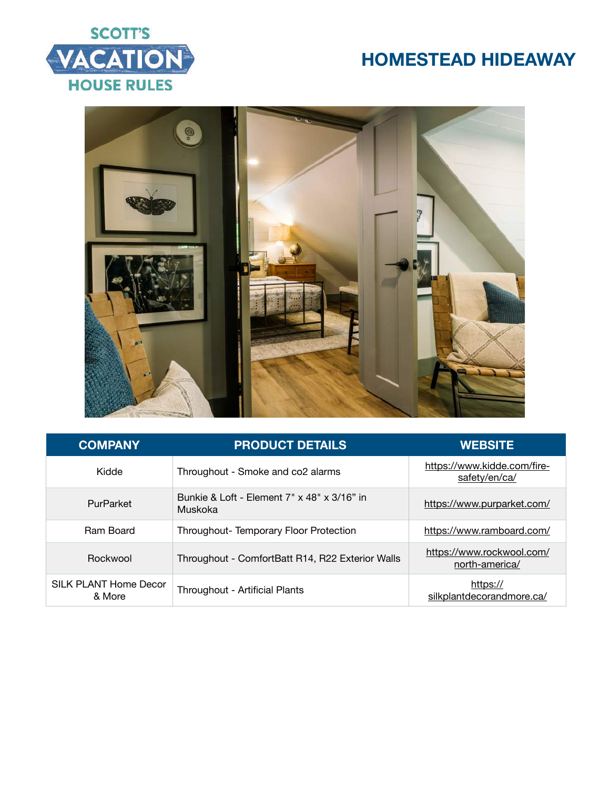



| <b>COMPANY</b>                  | <b>PRODUCT DETAILS</b>                                             | <b>WEBSITE</b>                               |
|---------------------------------|--------------------------------------------------------------------|----------------------------------------------|
| Kidde                           | Throughout - Smoke and co2 alarms                                  | https://www.kidde.com/fire-<br>safety/en/ca/ |
| PurParket                       | Bunkie & Loft - Element $7" \times 48" \times 3/16"$ in<br>Muskoka | https://www.purparket.com/                   |
| <b>Ram Board</b>                | Throughout-Temporary Floor Protection                              | https://www.ramboard.com/                    |
| Rockwool                        | Throughout - ComfortBatt R14, R22 Exterior Walls                   | https://www.rockwool.com/<br>north-america/  |
| SILK PLANT Home Decor<br>& More | Throughout - Artificial Plants                                     | https://<br>silkplantdecorandmore.ca/        |